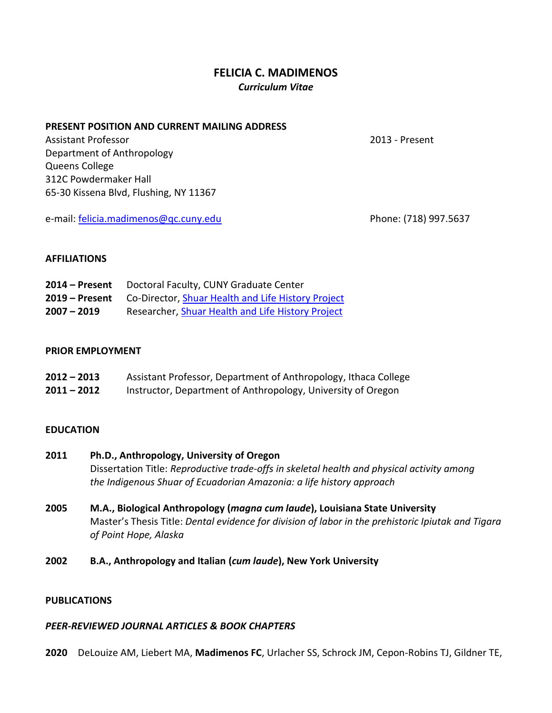# **FELICIA C. MADIMENOS** *Curriculum Vitae*

#### **PRESENT POSITION AND CURRENT MAILING ADDRESS**

Assistant Professor 2013 - Present Department of Anthropology Queens College 312C Powdermaker Hall 65-30 Kissena Blvd, Flushing, NY 11367

e-mail: [felicia.madimenos@qc.cuny.edu](mailto:felicia.madimenos@qc.cuny.edu) Phone: (718) 997.5637

### **AFFILIATIONS**

| $2014$ – Present | Doctoral Faculty, CUNY Graduate Center             |
|------------------|----------------------------------------------------|
| 2019 – Present   | Co-Director, Shuar Health and Life History Project |
| $2007 - 2019$    | Researcher, Shuar Health and Life History Project  |

### **PRIOR EMPLOYMENT**

| $2012 - 2013$ | Assistant Professor, Department of Anthropology, Ithaca College |
|---------------|-----------------------------------------------------------------|
| 2011 – 2012   | Instructor, Department of Anthropology, University of Oregon    |

## **EDUCATION**

- **2011 Ph.D., Anthropology, University of Oregon**  Dissertation Title: *Reproductive trade-offs in skeletal health and physical activity among the Indigenous Shuar of Ecuadorian Amazonia: a life history approach*
- **2005 M.A., Biological Anthropology (***magna cum laude***), Louisiana State University**  Master's Thesis Title: *Dental evidence for division of labor in the prehistoric Ipiutak and Tigara of Point Hope, Alaska*

## **2002 B.A., Anthropology and Italian (***cum laude***), New York University**

#### **PUBLICATIONS**

## *PEER-REVIEWED JOURNAL ARTICLES & BOOK CHAPTERS*

**2020** DeLouize AM, Liebert MA, **Madimenos FC**, Urlacher SS, Schrock JM, Cepon-Robins TJ, Gildner TE,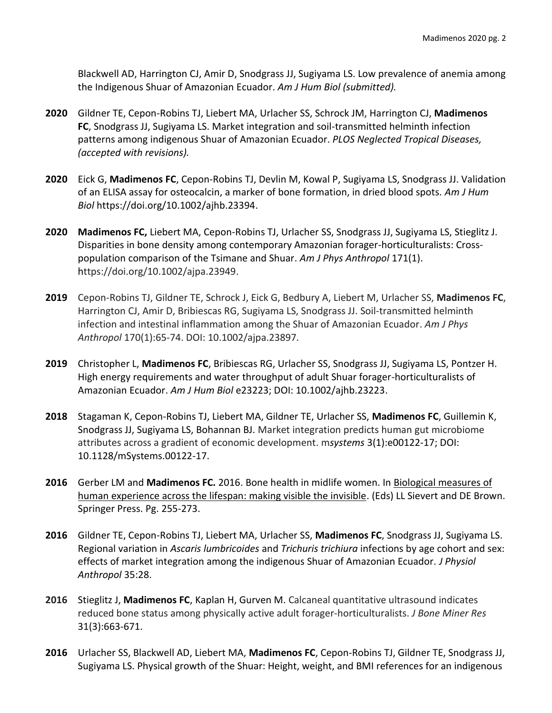Blackwell AD, Harrington CJ, Amir D, Snodgrass JJ, Sugiyama LS. Low prevalence of anemia among the Indigenous Shuar of Amazonian Ecuador. *Am J Hum Biol (submitted).*

- **2020** Gildner TE, Cepon-Robins TJ, Liebert MA, Urlacher SS, Schrock JM, Harrington CJ, **Madimenos FC**, Snodgrass JJ, Sugiyama LS. Market integration and soil-transmitted helminth infection patterns among indigenous Shuar of Amazonian Ecuador. *PLOS Neglected Tropical Diseases, (accepted with revisions).*
- **2020** Eick G, **Madimenos FC**, Cepon-Robins TJ, Devlin M, Kowal P, Sugiyama LS, Snodgrass JJ. Validation of an ELISA assay for osteocalcin, a marker of bone formation, in dried blood spots. *Am J Hum Biol* https://doi.org/10.1002/ajhb.23394.
- **2020 Madimenos FC,** Liebert MA, Cepon-Robins TJ, Urlacher SS, Snodgrass JJ, Sugiyama LS, Stieglitz J. Disparities in bone density among contemporary Amazonian forager-horticulturalists: Crosspopulation comparison of the Tsimane and Shuar. *Am J Phys Anthropol* 171(1). https://doi.org/10.1002/ajpa.23949.
- **2019** Cepon-Robins TJ, Gildner TE, Schrock J, Eick G, Bedbury A, Liebert M, Urlacher SS, **Madimenos FC**, Harrington CJ, Amir D, Bribiescas RG, Sugiyama LS, Snodgrass JJ. Soil-transmitted helminth infection and intestinal inflammation among the Shuar of Amazonian Ecuador. *Am J Phys Anthropol* 170(1):65-74. DOI: 10.1002/ajpa.23897.
- **2019** Christopher L, **Madimenos FC**, Bribiescas RG, Urlacher SS, Snodgrass JJ, Sugiyama LS, Pontzer H. High energy requirements and water throughput of adult Shuar forager-horticulturalists of Amazonian Ecuador. *Am J Hum Biol* e23223; DOI: 10.1002/ajhb.23223.
- **2018** Stagaman K, Cepon-Robins TJ, Liebert MA, Gildner TE, Urlacher SS, **Madimenos FC**, Guillemin K, Snodgrass JJ, Sugiyama LS, Bohannan BJ. Market integration predicts human gut microbiome attributes across a gradient of economic development. m*systems* 3(1):e00122-17; DOI: 10.1128/mSystems.00122-17.
- **2016** Gerber LM and **Madimenos FC.** 2016. Bone health in midlife women. In Biological measures of human experience across the lifespan: making visible the invisible. (Eds) LL Sievert and DE Brown. Springer Press. Pg. 255-273.
- **2016** Gildner TE, Cepon-Robins TJ, Liebert MA, Urlacher SS, **Madimenos FC**, Snodgrass JJ, Sugiyama LS. Regional variation in *Ascaris lumbricoides* and *Trichuris trichiura* infections by age cohort and sex: effects of market integration among the indigenous Shuar of Amazonian Ecuador. *J Physiol Anthropol* 35:28.
- **2016** Stieglitz J, **Madimenos FC**, Kaplan H, Gurven M. Calcaneal quantitative ultrasound indicates reduced bone status among physically active adult forager-horticulturalists. *J Bone Miner Res*  31(3):663-671.
- **2016** Urlacher SS, Blackwell AD, Liebert MA, **Madimenos FC**, Cepon‐Robins TJ, Gildner TE, Snodgrass JJ, Sugiyama LS. Physical growth of the Shuar: Height, weight, and BMI references for an indigenous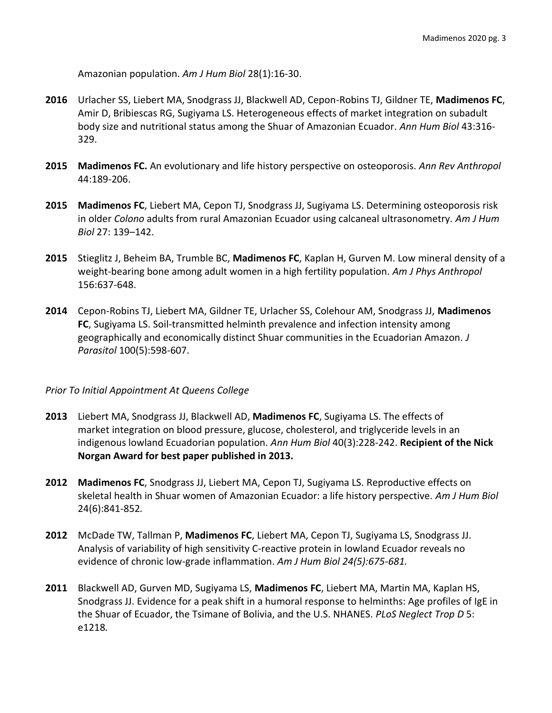Amazonian population. *Am J Hum Biol* 28(1):16-30.

- **2016** Urlacher SS, Liebert MA, Snodgrass JJ, Blackwell AD, Cepon-Robins TJ, Gildner TE, **Madimenos FC**, Amir D, Bribiescas RG, Sugiyama LS. Heterogeneous effects of market integration on subadult body size and nutritional status among the Shuar of Amazonian Ecuador. *Ann Hum Biol* 43:316- 329.
- **2015 Madimenos FC.** An evolutionary and life history perspective on osteoporosis. *Ann Rev Anthropol*  44:189-206.
- **2015 Madimenos FC**, Liebert MA, Cepon TJ, Snodgrass JJ, Sugiyama LS. Determining osteoporosis risk in older *Colono* adults from rural Amazonian Ecuador using calcaneal ultrasonometry. *Am J Hum Biol* 27: 139–142.
- **2015** Stieglitz J, Beheim BA, Trumble BC, **Madimenos FC**, Kaplan H, Gurven M. Low mineral density of a weight-bearing bone among adult women in a high fertility population. *Am J Phys Anthropol*  156:637-648.
- **2014** Cepon-Robins TJ, Liebert MA, Gildner TE, Urlacher SS, Colehour AM, Snodgrass JJ, **Madimenos FC**, Sugiyama LS. Soil-transmitted helminth prevalence and infection intensity among geographically and economically distinct Shuar communities in the Ecuadorian Amazon. *J Parasitol* 100(5):598-607.

## *Prior To Initial Appointment At Queens College*

- **2013** Liebert MA, Snodgrass JJ, Blackwell AD, **Madimenos FC**, Sugiyama LS. The effects of market integration on blood pressure, glucose, cholesterol, and triglyceride levels in an indigenous lowland Ecuadorian population. *Ann Hum Biol* 40(3):228-242. **Recipient of the Nick Norgan Award for best paper published in 2013.**
- **2012 Madimenos FC**, Snodgrass JJ, Liebert MA, Cepon TJ, Sugiyama LS. Reproductive effects on skeletal health in Shuar women of Amazonian Ecuador: a life history perspective. *Am J Hum Biol*  24(6):841-852*.*
- **2012** McDade TW, Tallman P, **Madimenos FC**, Liebert MA, Cepon TJ, Sugiyama LS, Snodgrass JJ. Analysis of variability of high sensitivity C-reactive protein in lowland Ecuador reveals no evidence of chronic low-grade inflammation. *Am J Hum Biol 24(5):675-681.*
- **2011** Blackwell AD, Gurven MD, Sugiyama LS, **Madimenos FC**, Liebert MA, Martin MA, Kaplan HS, Snodgrass JJ. Evidence for a peak shift in a humoral response to helminths: Age profiles of IgE in the Shuar of Ecuador, the Tsimane of Bolivia, and the U.S. NHANES. *PLoS Neglect Trop D* 5: e1218*.*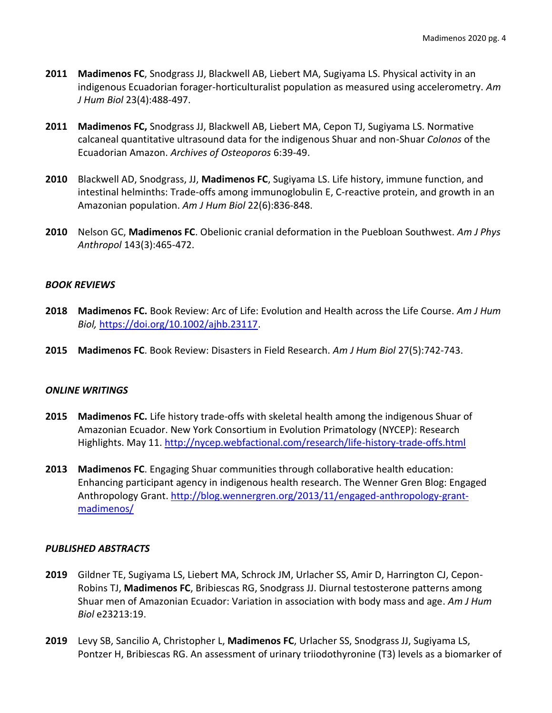- **2011 Madimenos FC**, Snodgrass JJ, Blackwell AB, Liebert MA, Sugiyama LS. Physical activity in an indigenous Ecuadorian forager-horticulturalist population as measured using accelerometry. *Am J Hum Biol* 23(4):488-497.
- **2011 Madimenos FC,** Snodgrass JJ, Blackwell AB, Liebert MA, Cepon TJ, Sugiyama LS. Normative calcaneal quantitative ultrasound data for the indigenous Shuar and non-Shuar *Colonos* of the Ecuadorian Amazon. *Archives of Osteoporos* 6:39-49.
- **2010** Blackwell AD, Snodgrass, JJ, **Madimenos FC**, Sugiyama LS. Life history, immune function, and intestinal helminths: Trade-offs among immunoglobulin E, C-reactive protein, and growth in an Amazonian population. *Am J Hum Biol* 22(6):836-848.
- **2010** Nelson GC, **Madimenos FC**. Obelionic cranial deformation in the Puebloan Southwest. *Am J Phys Anthropol* 143(3):465-472.

### *BOOK REVIEWS*

- **2018 Madimenos FC.** Book Review: Arc of Life: Evolution and Health across the Life Course. *Am J Hum Biol,* [https://doi.org/10.1002/ajhb.23117.](https://doi.org/10.1002/ajhb.23117)
- **2015 Madimenos FC**. Book Review: Disasters in Field Research. *Am J Hum Biol* 27(5):742-743.

#### *ONLINE WRITINGS*

- **2015 Madimenos FC.** Life history trade-offs with skeletal health among the indigenous Shuar of Amazonian Ecuador. New York Consortium in Evolution Primatology (NYCEP): Research Highlights. May 11.<http://nycep.webfactional.com/research/life-history-trade-offs.html>
- **2013 Madimenos FC**. Engaging Shuar communities through collaborative health education: Enhancing participant agency in indigenous health research. The Wenner Gren Blog: Engaged Anthropology Grant. [http://blog.wennergren.org/2013/11/engaged-anthropology-grant](http://blog.wennergren.org/2013/11/engaged-anthropology-grant-madimenos/)[madimenos/](http://blog.wennergren.org/2013/11/engaged-anthropology-grant-madimenos/)

#### *PUBLISHED ABSTRACTS*

- **2019** Gildner TE, Sugiyama LS, Liebert MA, Schrock JM, Urlacher SS, Amir D, Harrington CJ, Cepon-Robins TJ, **Madimenos FC**, Bribiescas RG, Snodgrass JJ. Diurnal testosterone patterns among Shuar men of Amazonian Ecuador: Variation in association with body mass and age. *Am J Hum Biol* e23213:19.
- **2019** Levy SB, Sancilio A, Christopher L, **Madimenos FC**, Urlacher SS, Snodgrass JJ, Sugiyama LS, Pontzer H, Bribiescas RG. An assessment of urinary triiodothyronine (T3) levels as a biomarker of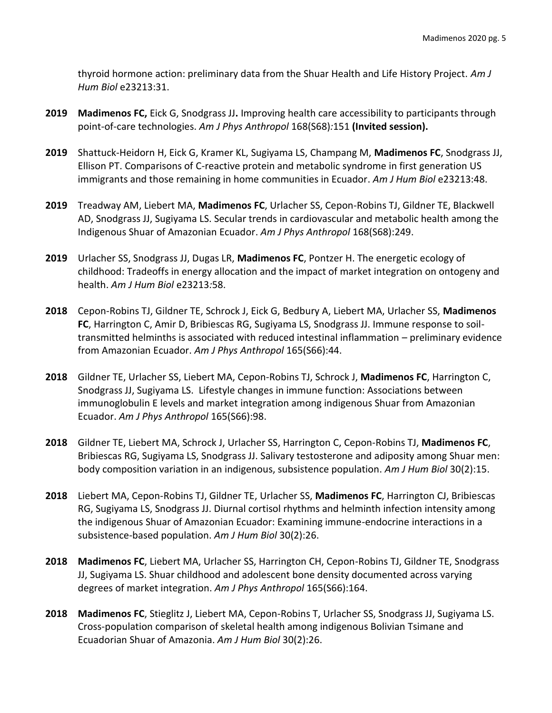thyroid hormone action: preliminary data from the Shuar Health and Life History Project. *Am J Hum Biol* e23213:31.

- **2019 Madimenos FC,** Eick G, Snodgrass JJ**.** Improving health care accessibility to participants through point-of-care technologies. *Am J Phys Anthropol* 168(S68)*:*151 **(Invited session).**
- **2019** Shattuck-Heidorn H, Eick G, Kramer KL, Sugiyama LS, Champang M, **Madimenos FC**, Snodgrass JJ, Ellison PT. Comparisons of C-reactive protein and metabolic syndrome in first generation US immigrants and those remaining in home communities in Ecuador. *Am J Hum Biol* e23213:48.
- **2019** Treadway AM, Liebert MA, **Madimenos FC**, Urlacher SS, Cepon-Robins TJ, Gildner TE, Blackwell AD, Snodgrass JJ, Sugiyama LS. Secular trends in cardiovascular and metabolic health among the Indigenous Shuar of Amazonian Ecuador. *Am J Phys Anthropol* 168(S68):249.
- **2019** Urlacher SS, Snodgrass JJ, Dugas LR, **Madimenos FC**, Pontzer H. The energetic ecology of childhood: Tradeoffs in energy allocation and the impact of market integration on ontogeny and health. *Am J Hum Biol* e23213*:*58.
- **2018** Cepon-Robins TJ, Gildner TE, Schrock J, Eick G, Bedbury A, Liebert MA, Urlacher SS, **Madimenos FC**, Harrington C, Amir D, Bribiescas RG, Sugiyama LS, Snodgrass JJ. Immune response to soiltransmitted helminths is associated with reduced intestinal inflammation – preliminary evidence from Amazonian Ecuador. *Am J Phys Anthropol* 165(S66):44.
- **2018** Gildner TE, Urlacher SS, Liebert MA, Cepon-Robins TJ, Schrock J, **Madimenos FC**, Harrington C, Snodgrass JJ, Sugiyama LS. Lifestyle changes in immune function: Associations between immunoglobulin E levels and market integration among indigenous Shuar from Amazonian Ecuador. *Am J Phys Anthropol* 165(S66):98.
- **2018** Gildner TE, Liebert MA, Schrock J, Urlacher SS, Harrington C, Cepon-Robins TJ, **Madimenos FC**, Bribiescas RG, Sugiyama LS, Snodgrass JJ. Salivary testosterone and adiposity among Shuar men: body composition variation in an indigenous, subsistence population. *Am J Hum Biol* 30(2):15.
- **2018** Liebert MA, Cepon-Robins TJ, Gildner TE, Urlacher SS, **Madimenos FC**, Harrington CJ, Bribiescas RG, Sugiyama LS, Snodgrass JJ. Diurnal cortisol rhythms and helminth infection intensity among the indigenous Shuar of Amazonian Ecuador: Examining immune-endocrine interactions in a subsistence-based population. *Am J Hum Biol* 30(2):26.
- **2018 Madimenos FC**, Liebert MA, Urlacher SS, Harrington CH, Cepon-Robins TJ, Gildner TE, Snodgrass JJ, Sugiyama LS. Shuar childhood and adolescent bone density documented across varying degrees of market integration. *Am J Phys Anthropol* 165(S66):164.
- **2018 Madimenos FC**, Stieglitz J, Liebert MA, Cepon-Robins T, Urlacher SS, Snodgrass JJ, Sugiyama LS. Cross-population comparison of skeletal health among indigenous Bolivian Tsimane and Ecuadorian Shuar of Amazonia. *Am J Hum Biol* 30(2):26.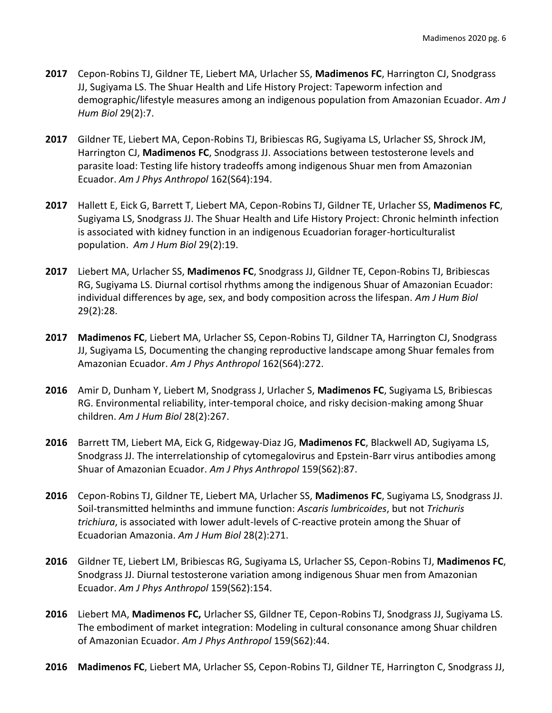- **2017** Cepon-Robins TJ, Gildner TE, Liebert MA, Urlacher SS, **Madimenos FC**, Harrington CJ, Snodgrass JJ, Sugiyama LS. The Shuar Health and Life History Project: Tapeworm infection and demographic/lifestyle measures among an indigenous population from Amazonian Ecuador. *Am J Hum Biol* 29(2):7.
- **2017** Gildner TE, Liebert MA, Cepon-Robins TJ, Bribiescas RG, Sugiyama LS, Urlacher SS, Shrock JM, Harrington CJ, **Madimenos FC**, Snodgrass JJ. Associations between testosterone levels and parasite load: Testing life history tradeoffs among indigenous Shuar men from Amazonian Ecuador. *Am J Phys Anthropol* 162(S64):194.
- **2017** Hallett E, Eick G, Barrett T, Liebert MA, Cepon-Robins TJ, Gildner TE, Urlacher SS, **Madimenos FC**, Sugiyama LS, Snodgrass JJ. The Shuar Health and Life History Project: Chronic helminth infection is associated with kidney function in an indigenous Ecuadorian forager-horticulturalist population. *Am J Hum Biol* 29(2):19.
- **2017** Liebert MA, Urlacher SS, **Madimenos FC**, Snodgrass JJ, Gildner TE, Cepon-Robins TJ, Bribiescas RG, Sugiyama LS. Diurnal cortisol rhythms among the indigenous Shuar of Amazonian Ecuador: individual differences by age, sex, and body composition across the lifespan. *Am J Hum Biol* 29(2):28.
- **2017 Madimenos FC**, Liebert MA, Urlacher SS, Cepon-Robins TJ, Gildner TA, Harrington CJ, Snodgrass JJ, Sugiyama LS, Documenting the changing reproductive landscape among Shuar females from Amazonian Ecuador. *Am J Phys Anthropol* 162(S64):272.
- **2016** Amir D, Dunham Y, Liebert M, Snodgrass J, Urlacher S, **Madimenos FC**, Sugiyama LS, Bribiescas RG. Environmental reliability, inter-temporal choice, and risky decision-making among Shuar children. *Am J Hum Biol* 28(2):267.
- **2016** Barrett TM, Liebert MA, Eick G, Ridgeway-Diaz JG, **Madimenos FC**, Blackwell AD, Sugiyama LS, Snodgrass JJ. The interrelationship of cytomegalovirus and Epstein-Barr virus antibodies among Shuar of Amazonian Ecuador. *Am J Phys Anthropol* 159(S62):87.
- **2016** Cepon-Robins TJ, Gildner TE, Liebert MA, Urlacher SS, **Madimenos FC**, Sugiyama LS, Snodgrass JJ. Soil-transmitted helminths and immune function: *Ascaris lumbricoides*, but not *Trichuris trichiura*, is associated with lower adult-levels of C-reactive protein among the Shuar of Ecuadorian Amazonia. *Am J Hum Biol* 28(2):271.
- **2016** Gildner TE, Liebert LM, Bribiescas RG, Sugiyama LS, Urlacher SS, Cepon-Robins TJ, **Madimenos FC**, Snodgrass JJ. Diurnal testosterone variation among indigenous Shuar men from Amazonian Ecuador. *Am J Phys Anthropol* 159(S62):154.
- **2016** Liebert MA, **Madimenos FC,** Urlacher SS, Gildner TE, Cepon-Robins TJ, Snodgrass JJ, Sugiyama LS. The embodiment of market integration: Modeling in cultural consonance among Shuar children of Amazonian Ecuador. *Am J Phys Anthropol* 159(S62):44.
- **2016 Madimenos FC**, Liebert MA, Urlacher SS, Cepon-Robins TJ, Gildner TE, Harrington C, Snodgrass JJ,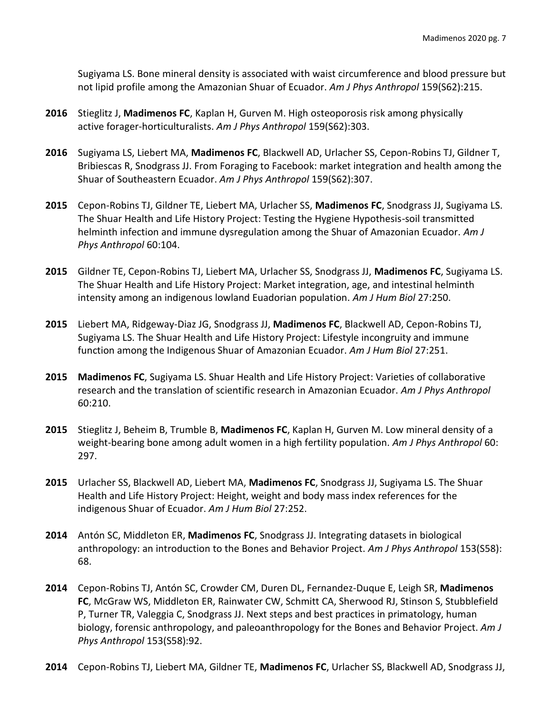Sugiyama LS. Bone mineral density is associated with waist circumference and blood pressure but not lipid profile among the Amazonian Shuar of Ecuador. *Am J Phys Anthropol* 159(S62):215.

- **2016** Stieglitz J, **Madimenos FC**, Kaplan H, Gurven M. High osteoporosis risk among physically active forager-horticulturalists. *Am J Phys Anthropol* 159(S62):303.
- **2016** Sugiyama LS, Liebert MA, **Madimenos FC**, Blackwell AD, Urlacher SS, Cepon-Robins TJ, Gildner T, Bribiescas R, Snodgrass JJ. From Foraging to Facebook: market integration and health among the Shuar of Southeastern Ecuador. *Am J Phys Anthropol* 159(S62):307.
- **2015** Cepon-Robins TJ, Gildner TE, Liebert MA, Urlacher SS, **Madimenos FC**, Snodgrass JJ, Sugiyama LS. The Shuar Health and Life History Project: Testing the Hygiene Hypothesis-soil transmitted helminth infection and immune dysregulation among the Shuar of Amazonian Ecuador. *Am J Phys Anthropol* 60:104.
- **2015** Gildner TE, Cepon-Robins TJ, Liebert MA, Urlacher SS, Snodgrass JJ, **Madimenos FC**, Sugiyama LS. The Shuar Health and Life History Project: Market integration, age, and intestinal helminth intensity among an indigenous lowland Euadorian population. *Am J Hum Biol* 27:250.
- **2015** Liebert MA, Ridgeway-Diaz JG, Snodgrass JJ, **Madimenos FC**, Blackwell AD, Cepon-Robins TJ, Sugiyama LS. The Shuar Health and Life History Project: Lifestyle incongruity and immune function among the Indigenous Shuar of Amazonian Ecuador. *Am J Hum Biol* 27:251.
- **2015 Madimenos FC**, Sugiyama LS. Shuar Health and Life History Project: Varieties of collaborative research and the translation of scientific research in Amazonian Ecuador. *Am J Phys Anthropol*  60:210.
- **2015** Stieglitz J, Beheim B, Trumble B, **Madimenos FC**, Kaplan H, Gurven M. Low mineral density of a weight-bearing bone among adult women in a high fertility population. *Am J Phys Anthropol* 60: 297.
- **2015** Urlacher SS, Blackwell AD, Liebert MA, **Madimenos FC**, Snodgrass JJ, Sugiyama LS. The Shuar Health and Life History Project: Height, weight and body mass index references for the indigenous Shuar of Ecuador. *Am J Hum Biol* 27:252.
- **2014** Antón SC, Middleton ER, **Madimenos FC**, Snodgrass JJ. Integrating datasets in biological anthropology: an introduction to the Bones and Behavior Project. *Am J Phys Anthropol* 153(S58): 68.
- **2014** Cepon-Robins TJ, Antón SC, Crowder CM, Duren DL, Fernandez-Duque E, Leigh SR, **Madimenos FC**, McGraw WS, Middleton ER, Rainwater CW, Schmitt CA, Sherwood RJ, Stinson S, Stubblefield P, Turner TR, Valeggia C, Snodgrass JJ. Next steps and best practices in primatology, human biology, forensic anthropology, and paleoanthropology for the Bones and Behavior Project. *Am J Phys Anthropol* 153(S58):92.
- **2014** Cepon-Robins TJ, Liebert MA, Gildner TE, **Madimenos FC**, Urlacher SS, Blackwell AD, Snodgrass JJ,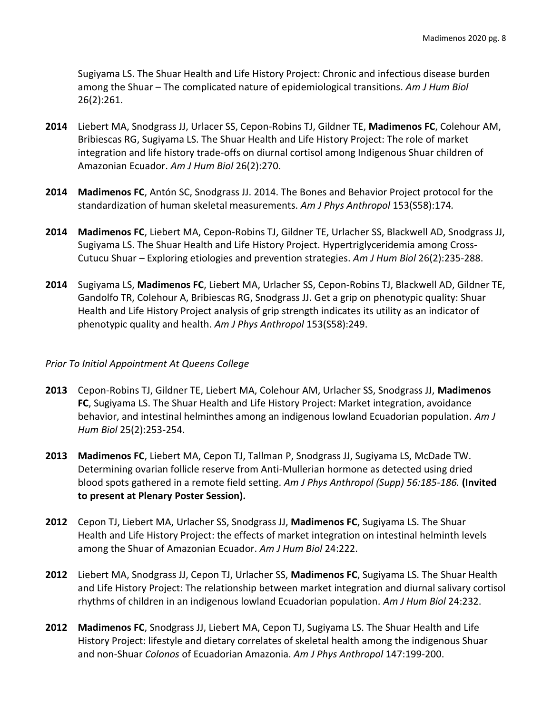Sugiyama LS. The Shuar Health and Life History Project: Chronic and infectious disease burden among the Shuar – The complicated nature of epidemiological transitions. *Am J Hum Biol*  26(2):261.

- **2014** Liebert MA, Snodgrass JJ, Urlacer SS, Cepon-Robins TJ, Gildner TE, **Madimenos FC**, Colehour AM, Bribiescas RG, Sugiyama LS. The Shuar Health and Life History Project: The role of market integration and life history trade-offs on diurnal cortisol among Indigenous Shuar children of Amazonian Ecuador. *Am J Hum Biol* 26(2):270.
- **2014 Madimenos FC**, Antón SC, Snodgrass JJ. 2014. The Bones and Behavior Project protocol for the standardization of human skeletal measurements. *Am J Phys Anthropol* 153(S58):174*.*
- **2014 Madimenos FC**, Liebert MA, Cepon-Robins TJ, Gildner TE, Urlacher SS, Blackwell AD, Snodgrass JJ, Sugiyama LS. The Shuar Health and Life History Project. Hypertriglyceridemia among Cross-Cutucu Shuar – Exploring etiologies and prevention strategies. *Am J Hum Biol* 26(2):235-288.
- **2014** Sugiyama LS, **Madimenos FC**, Liebert MA, Urlacher SS, Cepon-Robins TJ, Blackwell AD, Gildner TE, Gandolfo TR, Colehour A, Bribiescas RG, Snodgrass JJ. Get a grip on phenotypic quality: Shuar Health and Life History Project analysis of grip strength indicates its utility as an indicator of phenotypic quality and health. *Am J Phys Anthropol* 153(S58):249.

#### *Prior To Initial Appointment At Queens College*

- **2013** Cepon-Robins TJ, Gildner TE, Liebert MA, Colehour AM, Urlacher SS, Snodgrass JJ, **Madimenos FC**, Sugiyama LS. The Shuar Health and Life History Project: Market integration, avoidance behavior, and intestinal helminthes among an indigenous lowland Ecuadorian population. *Am J Hum Biol* 25(2):253-254.
- **2013 Madimenos FC**, Liebert MA, Cepon TJ, Tallman P, Snodgrass JJ, Sugiyama LS, McDade TW. Determining ovarian follicle reserve from Anti-Mullerian hormone as detected using dried blood spots gathered in a remote field setting. *Am J Phys Anthropol (Supp) 56:185-186.* **(Invited to present at Plenary Poster Session).**
- **2012** Cepon TJ, Liebert MA, Urlacher SS, Snodgrass JJ, **Madimenos FC**, Sugiyama LS. The Shuar Health and Life History Project: the effects of market integration on intestinal helminth levels among the Shuar of Amazonian Ecuador. *Am J Hum Biol* 24:222.
- **2012** Liebert MA, Snodgrass JJ, Cepon TJ, Urlacher SS, **Madimenos FC**, Sugiyama LS. The Shuar Health and Life History Project: The relationship between market integration and diurnal salivary cortisol rhythms of children in an indigenous lowland Ecuadorian population. *Am J Hum Biol* 24:232.
- **2012 Madimenos FC**, Snodgrass JJ, Liebert MA, Cepon TJ, Sugiyama LS. The Shuar Health and Life History Project: lifestyle and dietary correlates of skeletal health among the indigenous Shuar and non-Shuar *Colonos* of Ecuadorian Amazonia. *Am J Phys Anthropol* 147:199-200.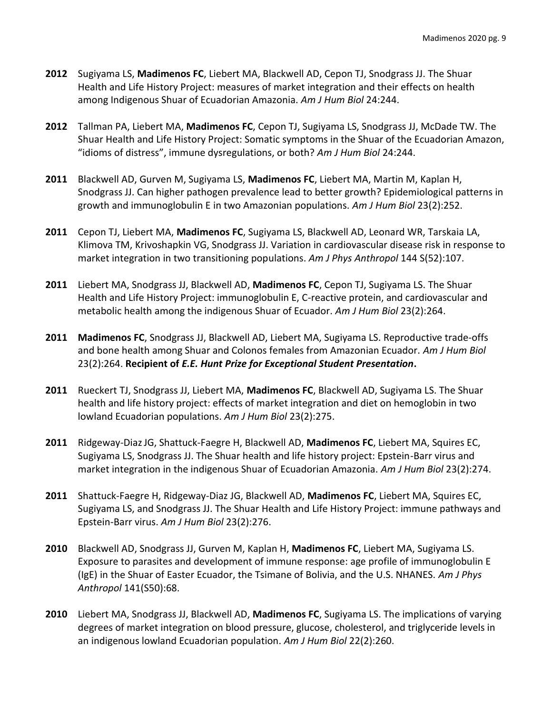- **2012** Sugiyama LS, **Madimenos FC**, Liebert MA, Blackwell AD, Cepon TJ, Snodgrass JJ. The Shuar Health and Life History Project: measures of market integration and their effects on health among Indigenous Shuar of Ecuadorian Amazonia. *Am J Hum Biol* 24:244.
- **2012** Tallman PA, Liebert MA, **Madimenos FC**, Cepon TJ, Sugiyama LS, Snodgrass JJ, McDade TW. The Shuar Health and Life History Project: Somatic symptoms in the Shuar of the Ecuadorian Amazon, "idioms of distress", immune dysregulations, or both? *Am J Hum Biol* 24:244.
- **2011** Blackwell AD, Gurven M, Sugiyama LS, **Madimenos FC**, Liebert MA, Martin M, Kaplan H, Snodgrass JJ. Can higher pathogen prevalence lead to better growth? Epidemiological patterns in growth and immunoglobulin E in two Amazonian populations. *Am J Hum Biol* 23(2):252.
- **2011** Cepon TJ, Liebert MA, **Madimenos FC**, Sugiyama LS, Blackwell AD, Leonard WR, Tarskaia LA, Klimova TM, Krivoshapkin VG, Snodgrass JJ. Variation in cardiovascular disease risk in response to market integration in two transitioning populations. *Am J Phys Anthropol* 144 S(52):107.
- **2011** Liebert MA, Snodgrass JJ, Blackwell AD, **Madimenos FC**, Cepon TJ, Sugiyama LS. The Shuar Health and Life History Project: immunoglobulin E, C-reactive protein, and cardiovascular and metabolic health among the indigenous Shuar of Ecuador. *Am J Hum Biol* 23(2):264.
- **2011 Madimenos FC**, Snodgrass JJ, Blackwell AD, Liebert MA, Sugiyama LS. Reproductive trade-offs and bone health among Shuar and Colonos females from Amazonian Ecuador. *Am J Hum Biol* 23(2):264. **Recipient of** *E.E. Hunt Prize for Exceptional Student Presentation***.**
- **2011** Rueckert TJ, Snodgrass JJ, Liebert MA, **Madimenos FC**, Blackwell AD, Sugiyama LS. The Shuar health and life history project: effects of market integration and diet on hemoglobin in two lowland Ecuadorian populations. *Am J Hum Biol* 23(2):275.
- **2011** Ridgeway-DiazJG, Shattuck-Faegre H, Blackwell AD, **Madimenos FC**, Liebert MA, Squires EC, Sugiyama LS, Snodgrass JJ. The Shuar health and life history project: Epstein-Barr virus and market integration in the indigenous Shuar of Ecuadorian Amazonia. *Am J Hum Biol* 23(2):274.
- **2011** Shattuck-Faegre H, Ridgeway-Diaz JG, Blackwell AD, **Madimenos FC**, Liebert MA, Squires EC, Sugiyama LS, and Snodgrass JJ. The Shuar Health and Life History Project: immune pathways and Epstein-Barr virus. *Am J Hum Biol* 23(2):276.
- **2010** Blackwell AD, Snodgrass JJ, Gurven M, Kaplan H, **Madimenos FC**, Liebert MA, Sugiyama LS. Exposure to parasites and development of immune response: age profile of immunoglobulin E (IgE) in the Shuar of Easter Ecuador, the Tsimane of Bolivia, and the U.S. NHANES. *Am J Phys Anthropol* 141(S50):68.
- **2010** Liebert MA, Snodgrass JJ, Blackwell AD, **Madimenos FC**, Sugiyama LS. The implications of varying degrees of market integration on blood pressure, glucose, cholesterol, and triglyceride levels in an indigenous lowland Ecuadorian population. *Am J Hum Biol* 22(2):260.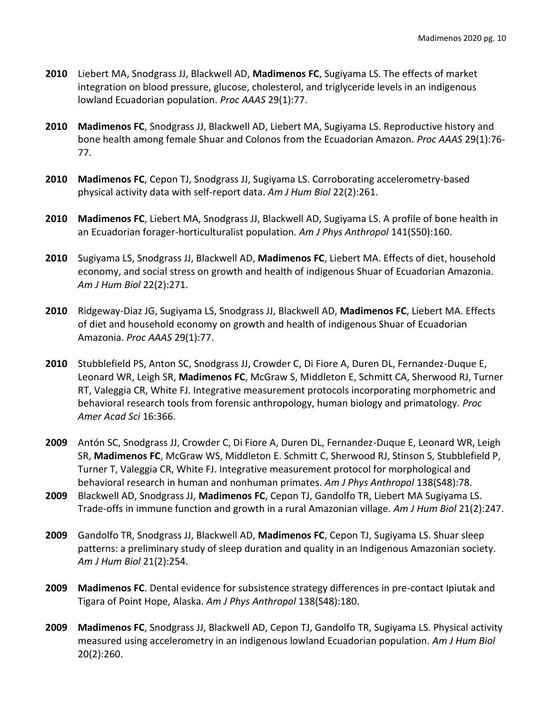- **2010** Liebert MA, Snodgrass JJ, Blackwell AD, **Madimenos FC**, Sugiyama LS. The effects of market integration on blood pressure, glucose, cholesterol, and triglyceride levels in an indigenous lowland Ecuadorian population. *Proc AAAS* 29(1):77.
- **2010 Madimenos FC**, Snodgrass JJ, Blackwell AD, Liebert MA, Sugiyama LS. Reproductive history and bone health among female Shuar and Colonos from the Ecuadorian Amazon. *Proc AAAS* 29(1):76- 77.
- **2010 Madimenos FC**, Cepon TJ, Snodgrass JJ, Sugiyama LS. Corroborating accelerometry-based physical activity data with self-report data. *Am J Hum Biol* 22(2):261.
- **2010 Madimenos FC**, Liebert MA, Snodgrass JJ, Blackwell AD, Sugiyama LS. A profile of bone health in an Ecuadorian forager-horticulturalist population. *Am J Phys Anthropol* 141(S50):160.
- **2010** Sugiyama LS, Snodgrass JJ, Blackwell AD, **Madimenos FC**, Liebert MA. Effects of diet, household economy, and social stress on growth and health of indigenous Shuar of Ecuadorian Amazonia. *Am J Hum Biol* 22(2):271.
- **2010** Ridgeway-Diaz JG, Sugiyama LS, Snodgrass JJ, Blackwell AD, **Madimenos FC**, Liebert MA. Effects of diet and household economy on growth and health of indigenous Shuar of Ecuadorian Amazonia. *Proc AAAS* 29(1):77.
- **2010** Stubblefield PS, Anton SC, Snodgrass JJ, Crowder C, Di Fiore A, Duren DL, Fernandez-Duque E, Leonard WR, Leigh SR, **Madimenos FC**, McGraw S, Middleton E, Schmitt CA, Sherwood RJ, Turner RT, Valeggia CR, White FJ. Integrative measurement protocols incorporating morphometric and behavioral research tools from forensic anthropology, human biology and primatology. *Proc Amer Acad Sci* 16:366.
- **2009** Antón SC, Snodgrass JJ, Crowder C, Di Fiore A, Duren DL, Fernandez-Duque E, Leonard WR, Leigh SR, **Madimenos FC**, McGraw WS, Middleton E. Schmitt C, Sherwood RJ, Stinson S, Stubblefield P, Turner T, Valeggia CR, White FJ. Integrative measurement protocol for morphological and behavioral research in human and nonhuman primates. *Am J Phys Anthropol* 138(S48):78.
- **2009** Blackwell AD, Snodgrass JJ, **Madimenos FC**, Cepon TJ, Gandolfo TR, Liebert MA Sugiyama LS. Trade-offs in immune function and growth in a rural Amazonian village. *Am J Hum Biol* 21(2):247.
- **2009** Gandolfo TR, Snodgrass JJ, Blackwell AD, **Madimenos FC**, Cepon TJ, Sugiyama LS. Shuar sleep patterns: a preliminary study of sleep duration and quality in an Indigenous Amazonian society*. Am J Hum Biol* 21(2):254.
- **2009 Madimenos FC**. Dental evidence for subsistence strategy differences in pre-contact Ipiutak and Tigara of Point Hope, Alaska. *Am J Phys Anthropol* 138(S48):180.
- **2009 Madimenos FC**, Snodgrass JJ, Blackwell AD, Cepon TJ, Gandolfo TR, Sugiyama LS. Physical activity measured using accelerometry in an indigenous lowland Ecuadorian population. *Am J Hum Biol*  20(2):260.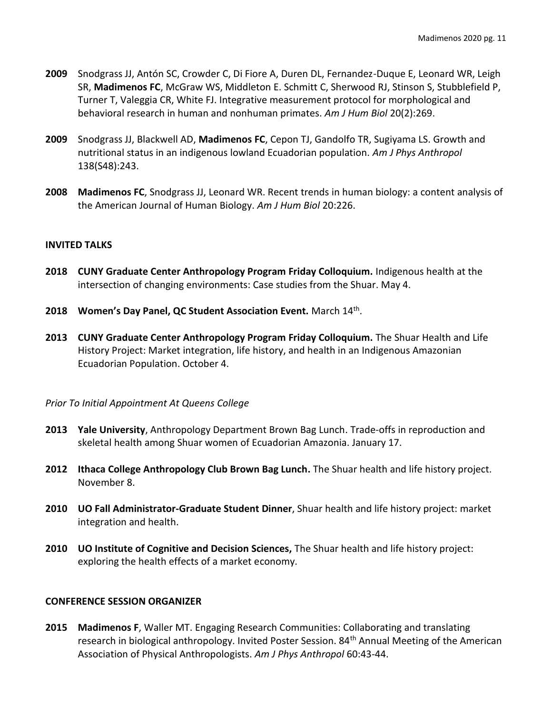- **2009** Snodgrass JJ, Antón SC, Crowder C, Di Fiore A, Duren DL, Fernandez-Duque E, Leonard WR, Leigh SR, **Madimenos FC**, McGraw WS, Middleton E. Schmitt C, Sherwood RJ, Stinson S, Stubblefield P, Turner T, Valeggia CR, White FJ. Integrative measurement protocol for morphological and behavioral research in human and nonhuman primates. *Am J Hum Biol* 20(2):269.
- **2009** Snodgrass JJ, Blackwell AD, **Madimenos FC**, Cepon TJ, Gandolfo TR, Sugiyama LS. Growth and nutritional status in an indigenous lowland Ecuadorian population. *Am J Phys Anthropol*  138(S48):243.
- **2008 Madimenos FC**, Snodgrass JJ, Leonard WR. Recent trends in human biology: a content analysis of the American Journal of Human Biology. *Am J Hum Biol* 20:226.

## **INVITED TALKS**

- **2018 CUNY Graduate Center Anthropology Program Friday Colloquium.** Indigenous health at the intersection of changing environments: Case studies from the Shuar. May 4.
- **2018 Women's Day Panel, QC Student Association Event.** March 14th .
- **2013 CUNY Graduate Center Anthropology Program Friday Colloquium.** The Shuar Health and Life History Project: Market integration, life history, and health in an Indigenous Amazonian Ecuadorian Population. October 4.

## *Prior To Initial Appointment At Queens College*

- **2013 Yale University**, Anthropology Department Brown Bag Lunch. Trade-offs in reproduction and skeletal health among Shuar women of Ecuadorian Amazonia. January 17.
- **2012 Ithaca College Anthropology Club Brown Bag Lunch.** The Shuar health and life history project. November 8.
- **2010 UO Fall Administrator-Graduate Student Dinner**, Shuar health and life history project: market integration and health.
- **2010 UO Institute of Cognitive and Decision Sciences,** The Shuar health and life history project: exploring the health effects of a market economy.

## **CONFERENCE SESSION ORGANIZER**

**2015 Madimenos F**, Waller MT. Engaging Research Communities: Collaborating and translating research in biological anthropology. Invited Poster Session. 84th Annual Meeting of the American Association of Physical Anthropologists. *Am J Phys Anthropol* 60:43-44.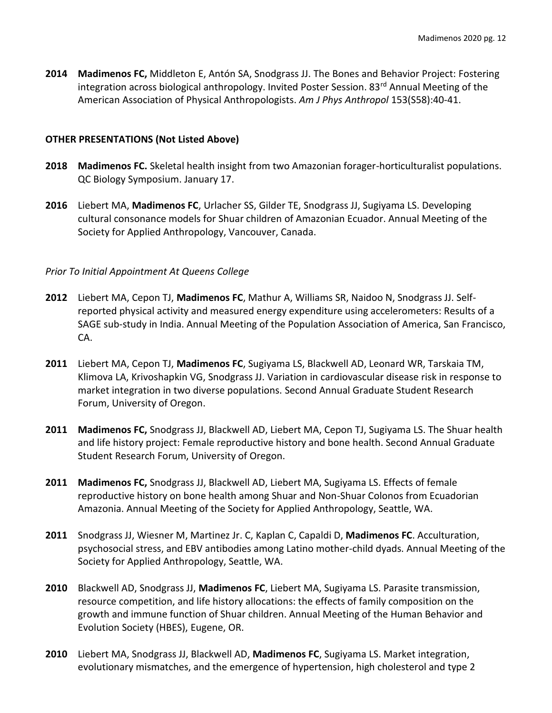**2014 Madimenos FC,** Middleton E, Antón SA, Snodgrass JJ. The Bones and Behavior Project: Fostering integration across biological anthropology. Invited Poster Session. 83rd Annual Meeting of the American Association of Physical Anthropologists. *Am J Phys Anthropol* 153(S58):40-41.

## **OTHER PRESENTATIONS (Not Listed Above)**

- **2018 Madimenos FC.** Skeletal health insight from two Amazonian forager-horticulturalist populations. QC Biology Symposium. January 17.
- **2016** Liebert MA, **Madimenos FC**, Urlacher SS, Gilder TE, Snodgrass JJ, Sugiyama LS. Developing cultural consonance models for Shuar children of Amazonian Ecuador. Annual Meeting of the Society for Applied Anthropology, Vancouver, Canada.

### *Prior To Initial Appointment At Queens College*

- **2012** Liebert MA, Cepon TJ, **Madimenos FC**, Mathur A, Williams SR, Naidoo N, Snodgrass JJ. Selfreported physical activity and measured energy expenditure using accelerometers: Results of a SAGE sub-study in India. Annual Meeting of the Population Association of America, San Francisco, CA.
- **2011** Liebert MA, Cepon TJ, **Madimenos FC**, Sugiyama LS, Blackwell AD, Leonard WR, Tarskaia TM, Klimova LA, Krivoshapkin VG, Snodgrass JJ. Variation in cardiovascular disease risk in response to market integration in two diverse populations. Second Annual Graduate Student Research Forum, University of Oregon.
- **2011 Madimenos FC,** Snodgrass JJ, Blackwell AD, Liebert MA, Cepon TJ, Sugiyama LS. The Shuar health and life history project: Female reproductive history and bone health. Second Annual Graduate Student Research Forum, University of Oregon.
- **2011 Madimenos FC,** Snodgrass JJ, Blackwell AD, Liebert MA, Sugiyama LS. Effects of female reproductive history on bone health among Shuar and Non-Shuar Colonos from Ecuadorian Amazonia. Annual Meeting of the Society for Applied Anthropology, Seattle, WA.
- **2011** Snodgrass JJ, Wiesner M, Martinez Jr. C, Kaplan C, Capaldi D, **Madimenos FC**. Acculturation, psychosocial stress, and EBV antibodies among Latino mother-child dyads. Annual Meeting of the Society for Applied Anthropology, Seattle, WA.
- **2010** Blackwell AD, Snodgrass JJ, **Madimenos FC**, Liebert MA, Sugiyama LS. Parasite transmission, resource competition, and life history allocations: the effects of family composition on the growth and immune function of Shuar children. Annual Meeting of the Human Behavior and Evolution Society (HBES), Eugene, OR.
- **2010** Liebert MA, Snodgrass JJ, Blackwell AD, **Madimenos FC**, Sugiyama LS. Market integration, evolutionary mismatches, and the emergence of hypertension, high cholesterol and type 2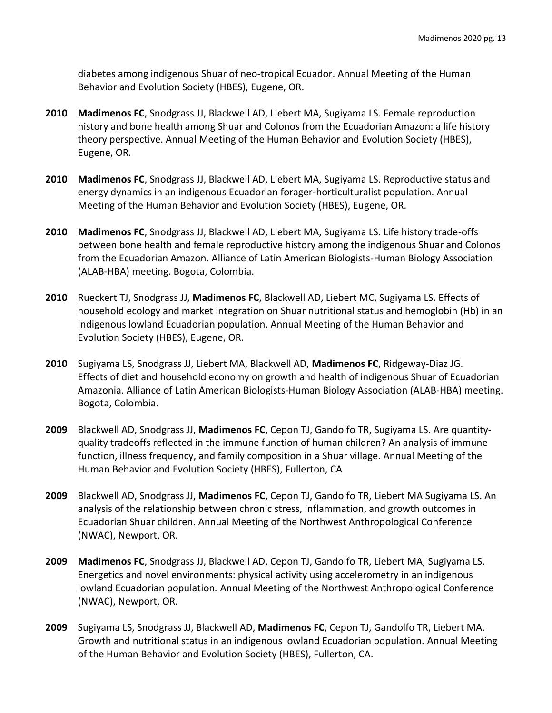diabetes among indigenous Shuar of neo-tropical Ecuador. Annual Meeting of the Human Behavior and Evolution Society (HBES), Eugene, OR.

- **2010 Madimenos FC**, Snodgrass JJ, Blackwell AD, Liebert MA, Sugiyama LS. Female reproduction history and bone health among Shuar and Colonos from the Ecuadorian Amazon: a life history theory perspective. Annual Meeting of the Human Behavior and Evolution Society (HBES), Eugene, OR.
- **2010 Madimenos FC**, Snodgrass JJ, Blackwell AD, Liebert MA, Sugiyama LS. Reproductive status and energy dynamics in an indigenous Ecuadorian forager-horticulturalist population. Annual Meeting of the Human Behavior and Evolution Society (HBES), Eugene, OR.
- **2010 Madimenos FC**, Snodgrass JJ, Blackwell AD, Liebert MA, Sugiyama LS. Life history trade-offs between bone health and female reproductive history among the indigenous Shuar and Colonos from the Ecuadorian Amazon. Alliance of Latin American Biologists-Human Biology Association (ALAB-HBA) meeting. Bogota, Colombia.
- **2010** Rueckert TJ, Snodgrass JJ, **Madimenos FC**, Blackwell AD, Liebert MC, Sugiyama LS. Effects of household ecology and market integration on Shuar nutritional status and hemoglobin (Hb) in an indigenous lowland Ecuadorian population. Annual Meeting of the Human Behavior and Evolution Society (HBES), Eugene, OR.
- **2010** Sugiyama LS, Snodgrass JJ, Liebert MA, Blackwell AD, **Madimenos FC**, Ridgeway-Diaz JG. Effects of diet and household economy on growth and health of indigenous Shuar of Ecuadorian Amazonia. Alliance of Latin American Biologists-Human Biology Association (ALAB-HBA) meeting. Bogota, Colombia.
- **2009** Blackwell AD, Snodgrass JJ, **Madimenos FC**, Cepon TJ, Gandolfo TR, Sugiyama LS. Are quantityquality tradeoffs reflected in the immune function of human children? An analysis of immune function, illness frequency, and family composition in a Shuar village. Annual Meeting of the Human Behavior and Evolution Society (HBES), Fullerton, CA
- **2009** Blackwell AD, Snodgrass JJ, **Madimenos FC**, Cepon TJ, Gandolfo TR, Liebert MA Sugiyama LS. An analysis of the relationship between chronic stress, inflammation, and growth outcomes in Ecuadorian Shuar children. Annual Meeting of the Northwest Anthropological Conference (NWAC), Newport, OR.
- **2009 Madimenos FC**, Snodgrass JJ, Blackwell AD, Cepon TJ, Gandolfo TR, Liebert MA, Sugiyama LS. Energetics and novel environments: physical activity using accelerometry in an indigenous lowland Ecuadorian population*.* Annual Meeting of the Northwest Anthropological Conference (NWAC), Newport, OR.
- **2009** Sugiyama LS, Snodgrass JJ, Blackwell AD, **Madimenos FC**, Cepon TJ, Gandolfo TR, Liebert MA. Growth and nutritional status in an indigenous lowland Ecuadorian population. Annual Meeting of the Human Behavior and Evolution Society (HBES), Fullerton, CA.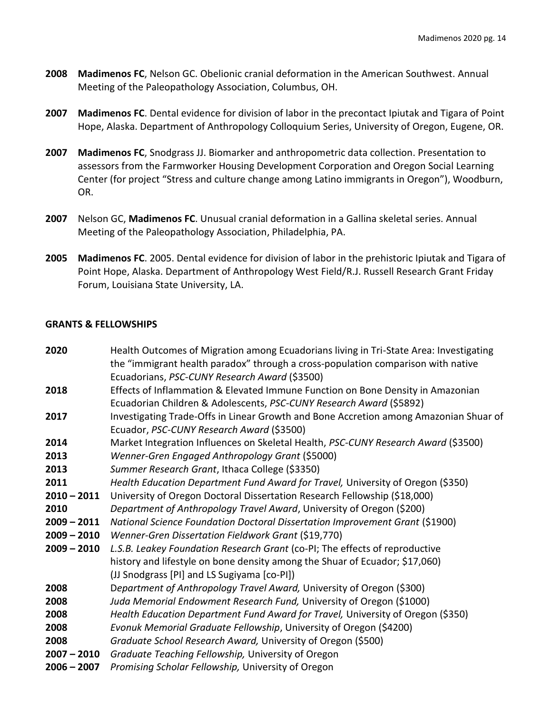- **2008 Madimenos FC**, Nelson GC. Obelionic cranial deformation in the American Southwest. Annual Meeting of the Paleopathology Association, Columbus, OH.
- **2007 Madimenos FC**. Dental evidence for division of labor in the precontact Ipiutak and Tigara of Point Hope, Alaska. Department of Anthropology Colloquium Series, University of Oregon, Eugene, OR.
- **2007 Madimenos FC**, Snodgrass JJ. Biomarker and anthropometric data collection. Presentation to assessors from the Farmworker Housing Development Corporation and Oregon Social Learning Center (for project "Stress and culture change among Latino immigrants in Oregon"), Woodburn, OR.
- **2007** Nelson GC, **Madimenos FC**. Unusual cranial deformation in a Gallina skeletal series. Annual Meeting of the Paleopathology Association, Philadelphia, PA.
- **2005 Madimenos FC**. 2005. Dental evidence for division of labor in the prehistoric Ipiutak and Tigara of Point Hope, Alaska. Department of Anthropology West Field/R.J. Russell Research Grant Friday Forum, Louisiana State University, LA.

## **GRANTS & FELLOWSHIPS**

| 2020          | Health Outcomes of Migration among Ecuadorians living in Tri-State Area: Investigating |
|---------------|----------------------------------------------------------------------------------------|
|               | the "immigrant health paradox" through a cross-population comparison with native       |
|               | Ecuadorians, PSC-CUNY Research Award (\$3500)                                          |
| 2018          | Effects of Inflammation & Elevated Immune Function on Bone Density in Amazonian        |
|               | Ecuadorian Children & Adolescents, PSC-CUNY Research Award (\$5892)                    |
| 2017          | Investigating Trade-Offs in Linear Growth and Bone Accretion among Amazonian Shuar of  |
|               | Ecuador, PSC-CUNY Research Award (\$3500)                                              |
| 2014          | Market Integration Influences on Skeletal Health, PSC-CUNY Research Award (\$3500)     |
| 2013          | Wenner-Gren Engaged Anthropology Grant (\$5000)                                        |
| 2013          | Summer Research Grant, Ithaca College (\$3350)                                         |
| 2011          | Health Education Department Fund Award for Travel, University of Oregon (\$350)        |
| $2010 - 2011$ | University of Oregon Doctoral Dissertation Research Fellowship (\$18,000)              |
| 2010          | Department of Anthropology Travel Award, University of Oregon (\$200)                  |
| $2009 - 2011$ | National Science Foundation Doctoral Dissertation Improvement Grant (\$1900)           |
| $2009 - 2010$ | Wenner-Gren Dissertation Fieldwork Grant (\$19,770)                                    |
| $2009 - 2010$ | L.S.B. Leakey Foundation Research Grant (co-PI; The effects of reproductive            |
|               | history and lifestyle on bone density among the Shuar of Ecuador; \$17,060)            |
|               | (JJ Snodgrass [PI] and LS Sugiyama [co-PI])                                            |
| 2008          | Department of Anthropology Travel Award, University of Oregon (\$300)                  |
| 2008          | Juda Memorial Endowment Research Fund, University of Oregon (\$1000)                   |
| 2008          | Health Education Department Fund Award for Travel, University of Oregon (\$350)        |
| 2008          | Evonuk Memorial Graduate Fellowship, University of Oregon (\$4200)                     |
| 2008          | Graduate School Research Award, University of Oregon (\$500)                           |
| $2007 - 2010$ | Graduate Teaching Fellowship, University of Oregon                                     |
| $2006 - 2007$ | Promising Scholar Fellowship, University of Oregon                                     |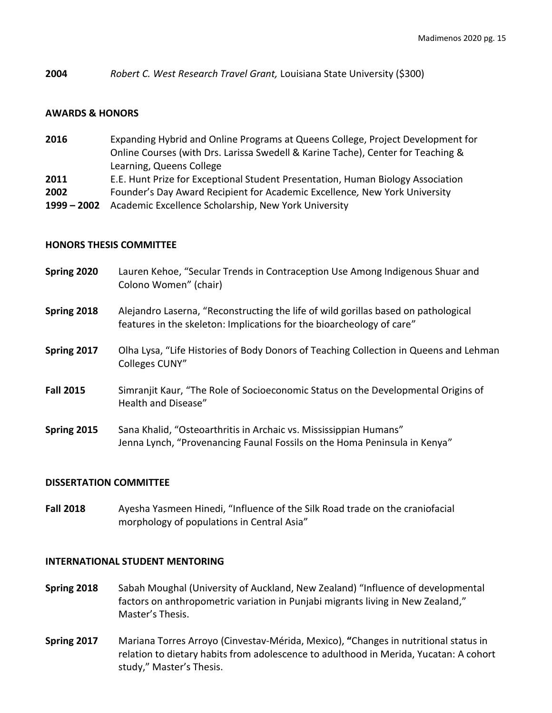**2004** *Robert C. West Research Travel Grant,* Louisiana State University (\$300)

#### **AWARDS & HONORS**

- **2016** Expanding Hybrid and Online Programs at Queens College, Project Development for Online Courses (with Drs. Larissa Swedell & Karine Tache), Center for Teaching & Learning, Queens College **2011** E.E. Hunt Prize for Exceptional Student Presentation, Human Biology Association
- **2002** Founder's Day Award Recipient for Academic Excellence*,* New York University
- **1999 – 2002** Academic Excellence Scholarship, New York University

#### **HONORS THESIS COMMITTEE**

- **Spring 2020** Lauren Kehoe, "Secular Trends in Contraception Use Among Indigenous Shuar and Colono Women" (chair)
- **Spring 2018** Alejandro Laserna, "Reconstructing the life of wild gorillas based on pathological features in the skeleton: Implications for the bioarcheology of care"
- **Spring 2017** Olha Lysa, "Life Histories of Body Donors of Teaching Collection in Queens and Lehman Colleges CUNY"
- **Fall 2015** Simranjit Kaur, "The Role of Socioeconomic Status on the Developmental Origins of Health and Disease"
- **Spring 2015** Sana Khalid, "Osteoarthritis in Archaic vs. Mississippian Humans" Jenna Lynch, "Provenancing Faunal Fossils on the Homa Peninsula in Kenya"

#### **DISSERTATION COMMITTEE**

**Fall 2018** Ayesha Yasmeen Hinedi, "Influence of the Silk Road trade on the craniofacial morphology of populations in Central Asia"

#### **INTERNATIONAL STUDENT MENTORING**

- **Spring 2018** Sabah Moughal (University of Auckland, New Zealand) "Influence of developmental factors on anthropometric variation in Punjabi migrants living in New Zealand," Master's Thesis.
- **Spring 2017** Mariana Torres Arroyo (Cinvestav-Mérida, Mexico), **"**Changes in nutritional status in relation to dietary habits from adolescence to adulthood in Merida, Yucatan: A cohort study," Master's Thesis.